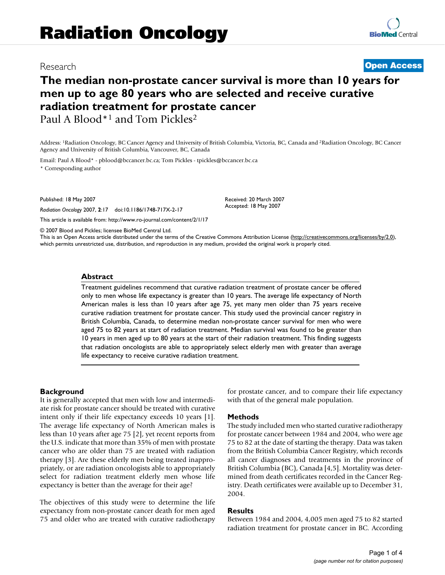# Research **[Open Access](http://www.biomedcentral.com/info/about/charter/)**

# **The median non-prostate cancer survival is more than 10 years for men up to age 80 years who are selected and receive curative radiation treatment for prostate cancer** Paul A Blood<sup>\*1</sup> and Tom Pickles<sup>2</sup>

Address: 1Radiation Oncology, BC Cancer Agency and University of British Columbia, Victoria, BC, Canada and 2Radiation Oncology, BC Cancer Agency and University of British Columbia, Vancouver, BC, Canada

> Received: 20 March 2007 Accepted: 18 May 2007

Email: Paul A Blood\* - pblood@bccancer.bc.ca; Tom Pickles - tpickles@bccancer.bc.ca

\* Corresponding author

Published: 18 May 2007

*Radiation Oncology* 2007, **2**:17 doi:10.1186/1748-717X-2-17

[This article is available from: http://www.ro-journal.com/content/2/1/17](http://www.ro-journal.com/content/2/1/17)

© 2007 Blood and Pickles; licensee BioMed Central Ltd. This is an Open Access article distributed under the terms of the Creative Commons Attribution License [\(http://creativecommons.org/licenses/by/2.0\)](http://creativecommons.org/licenses/by/2.0), which permits unrestricted use, distribution, and reproduction in any medium, provided the original work is properly cited.

#### **Abstract**

Treatment guidelines recommend that curative radiation treatment of prostate cancer be offered only to men whose life expectancy is greater than 10 years. The average life expectancy of North American males is less than 10 years after age 75, yet many men older than 75 years receive curative radiation treatment for prostate cancer. This study used the provincial cancer registry in British Columbia, Canada, to determine median non-prostate cancer survival for men who were aged 75 to 82 years at start of radiation treatment. Median survival was found to be greater than 10 years in men aged up to 80 years at the start of their radiation treatment. This finding suggests that radiation oncologists are able to appropriately select elderly men with greater than average life expectancy to receive curative radiation treatment.

#### **Background**

It is generally accepted that men with low and intermediate risk for prostate cancer should be treated with curative intent only if their life expectancy exceeds 10 years [1]. The average life expectancy of North American males is less than 10 years after age 75 [2], yet recent reports from the U.S. indicate that more than 35% of men with prostate cancer who are older than 75 are treated with radiation therapy [3]. Are these elderly men being treated inappropriately, or are radiation oncologists able to appropriately select for radiation treatment elderly men whose life expectancy is better than the average for their age?

The objectives of this study were to determine the life expectancy from non-prostate cancer death for men aged 75 and older who are treated with curative radiotherapy for prostate cancer, and to compare their life expectancy with that of the general male population.

#### **Methods**

The study included men who started curative radiotherapy for prostate cancer between 1984 and 2004, who were age 75 to 82 at the date of starting the therapy. Data was taken from the British Columbia Cancer Registry, which records all cancer diagnoses and treatments in the province of British Columbia (BC), Canada [4,5]. Mortality was determined from death certificates recorded in the Cancer Registry. Death certificates were available up to December 31, 2004.

# **Results**

Between 1984 and 2004, 4,005 men aged 75 to 82 started radiation treatment for prostate cancer in BC. According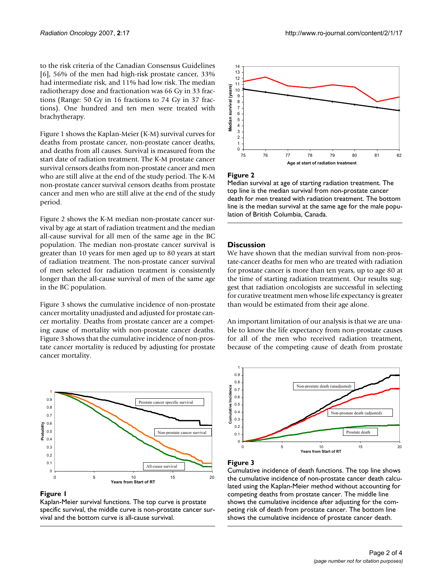to the risk criteria of the Canadian Consensus Guidelines [6], 56% of the men had high-risk prostate cancer, 33% had intermediate risk, and 11% had low risk. The median radiotherapy dose and fractionation was 66 Gy in 33 fractions (Range: 50 Gy in 16 fractions to 74 Gy in 37 fractions). One hundred and ten men were treated with brachytherapy.

Figure 1 shows the Kaplan-Meier (K-M) survival curves for deaths from prostate cancer, non-prostate cancer deaths, and deaths from all causes. Survival is measured from the start date of radiation treatment. The K-M prostate cancer survival censors deaths from non-prostate cancer and men who are still alive at the end of the study period. The K-M non-prostate cancer survival censors deaths from prostate cancer and men who are still alive at the end of the study period.

Figure 2 shows the K-M median non-prostate cancer survival by age at start of radiation treatment and the median all-cause survival for all men of the same age in the BC population. The median non-prostate cancer survival is greater than 10 years for men aged up to 80 years at start of radiation treatment. The non-prostate cancer survival of men selected for radiation treatment is consistently longer than the all-cause survival of men of the same age in the BC population.

Figure 3 shows the cumulative incidence of non-prostate cancer mortality unadjusted and adjusted for prostate cancer mortality. Deaths from prostate cancer are a competing cause of mortality with non-prostate cancer deaths. Figure 3 shows that the cumulative incidence of non-prostate cancer mortality is reduced by adjusting for prostate cancer mortality.



#### **Figure 1**

Kaplan-Meier survival functions. The top curve is prostate specific survival, the middle curve is non-prostate cancer survival and the bottom curve is all-cause survival.





#### **Figure 2**

13 14

Median survival at age of starting radiation treatment. The top line is the median survival from non-prostate cancer death for men treated with radiation treatment. The bottom line is the median survival at the same age for the male population of British Columbia, Canada.

# **Discussion**

We have shown that the median survival from non-prostate-cancer deaths for men who are treated with radiation for prostate cancer is more than ten years, up to age 80 at the time of starting radiation treatment. Our results suggest that radiation oncologists are successful in selecting for curative treatment men whose life expectancy is greater than would be estimated from their age alone.

An important limitation of our analysis is that we are unable to know the life expectancy from non-prostate causes for all of the men who received radiation treatment, because of the competing cause of death from prostate



# **Figure 3**

Cumulative incidence of death functions. The top line shows the cumulative incidence of non-prostate cancer death calculated using the Kaplan-Meier method without accounting for competing deaths from prostate cancer. The middle line shows the cumulative incidence after adjusting for the competing risk of death from prostate cancer. The bottom line shows the cumulative incidence of prostate cancer death.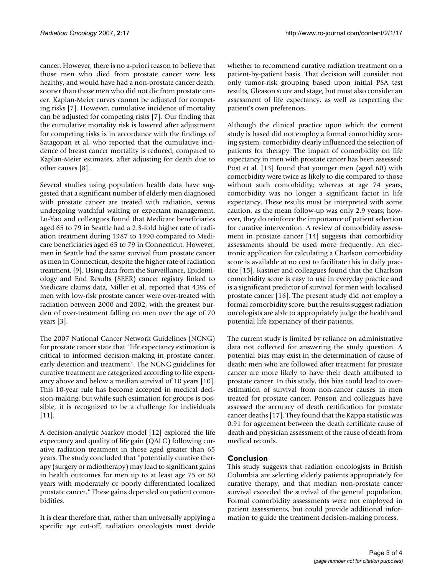cancer. However, there is no a-priori reason to believe that those men who died from prostate cancer were less healthy, and would have had a non-prostate cancer death, sooner than those men who did not die from prostate cancer. Kaplan-Meier curves cannot be adjusted for competing risks [7]. However, cumulative incidence of mortality can be adjusted for competing risks [7]. Our finding that the cumulative mortality risk is lowered after adjustment for competing risks is in accordance with the findings of Satagopan et al, who reported that the cumulative incidence of breast cancer mortality is reduced, compared to Kaplan-Meier estimates, after adjusting for death due to other causes [8].

Several studies using population health data have suggested that a significant number of elderly men diagnosed with prostate cancer are treated with radiation, versus undergoing watchful waiting or expectant management. Lu-Yao and colleagues found that Medicare beneficiaries aged 65 to 79 in Seattle had a 2.3-fold higher rate of radiation treatment during 1987 to 1990 compared to Medicare beneficiaries aged 65 to 79 in Connecticut. However, men in Seattle had the same survival from prostate cancer as men in Connecticut, despite the higher rate of radiation treatment. [9]. Using data from the Surveillance, Epidemiology and End Results (SEER) cancer registry linked to Medicare claims data, Miller et al. reported that 45% of men with low-risk prostate cancer were over-treated with radiation between 2000 and 2002, with the greatest burden of over-treatment falling on men over the age of 70 years [3].

The 2007 National Cancer Network Guidelines (NCNG) for prostate cancer state that "life expectancy estimation is critical to informed decision-making in prostate cancer, early detection and treatment". The NCNG guidelines for curative treatment are categorized according to life expectancy above and below a median survival of 10 years [10]. This 10-year rule has become accepted in medical decision-making, but while such estimation for groups is possible, it is recognized to be a challenge for individuals [11].

A decision-analytic Markov model [12] explored the life expectancy and quality of life gain (QALG) following curative radiation treatment in those aged greater than 65 years. The study concluded that "potentially curative therapy (surgery or radiotherapy) may lead to significant gains in health outcomes for men up to at least age 75 or 80 years with moderately or poorly differentiated localized prostate cancer." These gains depended on patient comorbidities.

It is clear therefore that, rather than universally applying a specific age cut-off, radiation oncologists must decide whether to recommend curative radiation treatment on a patient-by-patient basis. That decision will consider not only tumor-risk grouping based upon initial PSA test results, Gleason score and stage, but must also consider an assessment of life expectancy, as well as respecting the patient's own preferences.

Although the clinical practice upon which the current study is based did not employ a formal comorbidity scoring system, comorbidity clearly influenced the selection of patients for therapy. The impact of comorbidity on life expectancy in men with prostate cancer has been assessed: Post et al. [13] found that younger men (aged 60) with comorbidity were twice as likely to die compared to those without such comorbidity; whereas at age 74 years, comorbidity was no longer a significant factor in life expectancy. These results must be interpreted with some caution, as the mean follow-up was only 2.9 years; however, they do reinforce the importance of patient selection for curative intervention. A review of comorbidity assessment in prostate cancer [14] suggests that comorbidity assessments should be used more frequently. An electronic application for calculating a Charlson comorbidity score is available at no cost to facilitate this in daily practice [15]. Kastner and colleagues found that the Charlson comorbidity score is easy to use in everyday practice and is a significant predictor of survival for men with localised prostate cancer [16]. The present study did not employ a formal comorbidity score, but the results suggest radiation oncologists are able to appropriately judge the health and potential life expectancy of their patients.

The current study is limited by reliance on administrative data not collected for answering the study question. A potential bias may exist in the determination of cause of death: men who are followed after treatment for prostate cancer are more likely to have their death attributed to prostate cancer. In this study, this bias could lead to overestimation of survival from non-cancer causes in men treated for prostate cancer. Penson and colleagues have assessed the accuracy of death certification for prostate cancer deaths [17]. They found that the Kappa statistic was 0.91 for agreement between the death certificate cause of death and physician assessment of the cause of death from medical records.

# **Conclusion**

This study suggests that radiation oncologists in British Columbia are selecting elderly patients appropriately for curative therapy, and that median non-prostate cancer survival exceeded the survival of the general population. Formal comorbidity assessments were not employed in patient assessments, but could provide additional information to guide the treatment decision-making process.